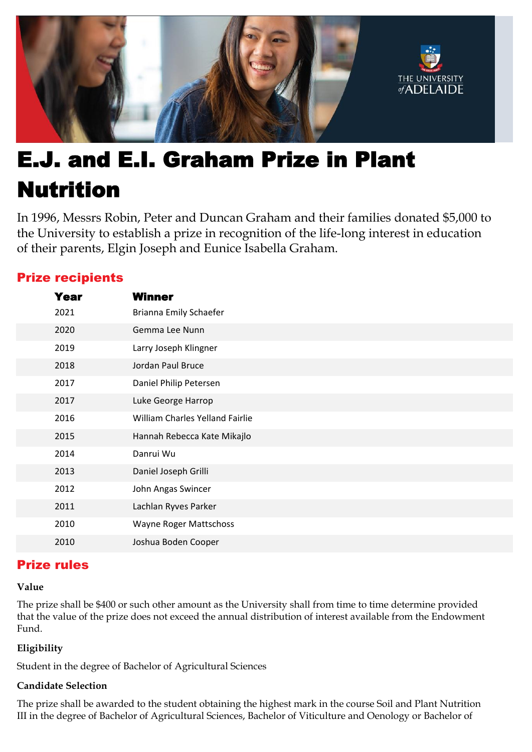

# E.J. and E.I. Graham Prize in Plant Nutrition

In 1996, Messrs Robin, Peter and Duncan Graham and their families donated \$5,000 to the University to establish a prize in recognition of the life-long interest in education of their parents, Elgin Joseph and Eunice Isabella Graham.

## Prize recipients

| Year | <b>Winner</b>                   |
|------|---------------------------------|
| 2021 | Brianna Emily Schaefer          |
| 2020 | Gemma Lee Nunn                  |
| 2019 | Larry Joseph Klingner           |
| 2018 | Jordan Paul Bruce               |
| 2017 | Daniel Philip Petersen          |
| 2017 | Luke George Harrop              |
| 2016 | William Charles Yelland Fairlie |
| 2015 | Hannah Rebecca Kate Mikajlo     |
| 2014 | Danrui Wu                       |
| 2013 | Daniel Joseph Grilli            |
| 2012 | John Angas Swincer              |
| 2011 | Lachlan Ryves Parker            |
| 2010 | Wayne Roger Mattschoss          |
| 2010 | Joshua Boden Cooper             |

## Prize rules

#### **Value**

The prize shall be \$400 or such other amount as the University shall from time to time determine provided that the value of the prize does not exceed the annual distribution of interest available from the Endowment Fund.

### **Eligibility**

Student in the degree of Bachelor of Agricultural Sciences

#### **Candidate Selection**

The prize shall be awarded to the student obtaining the highest mark in the course Soil and Plant Nutrition III in the degree of Bachelor of Agricultural Sciences, Bachelor of Viticulture and Oenology or Bachelor of